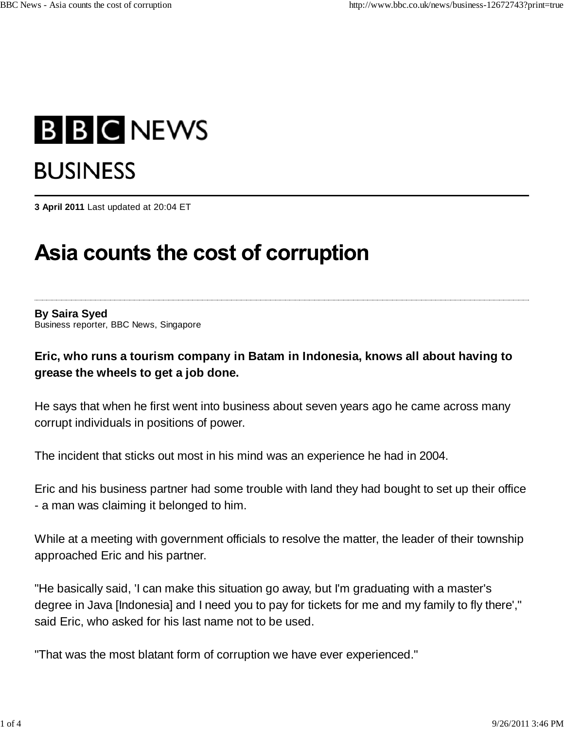# **B B C NEWS BUSINESS**

**3 April 2011** Last updated at 20:04 ET

## Asia counts the cost of corruption

#### **By Saira Syed** Business reporter, BBC News, Singapore

#### **Eric, who runs a tourism company in Batam in Indonesia, knows all about having to grease the wheels to get a job done.**

He says that when he first went into business about seven years ago he came across many corrupt individuals in positions of power.

The incident that sticks out most in his mind was an experience he had in 2004.

Eric and his business partner had some trouble with land they had bought to set up their office - a man was claiming it belonged to him.

While at a meeting with government officials to resolve the matter, the leader of their township approached Eric and his partner.

"He basically said, 'I can make this situation go away, but I'm graduating with a master's degree in Java [Indonesia] and I need you to pay for tickets for me and my family to fly there'," said Eric, who asked for his last name not to be used.

"That was the most blatant form of corruption we have ever experienced."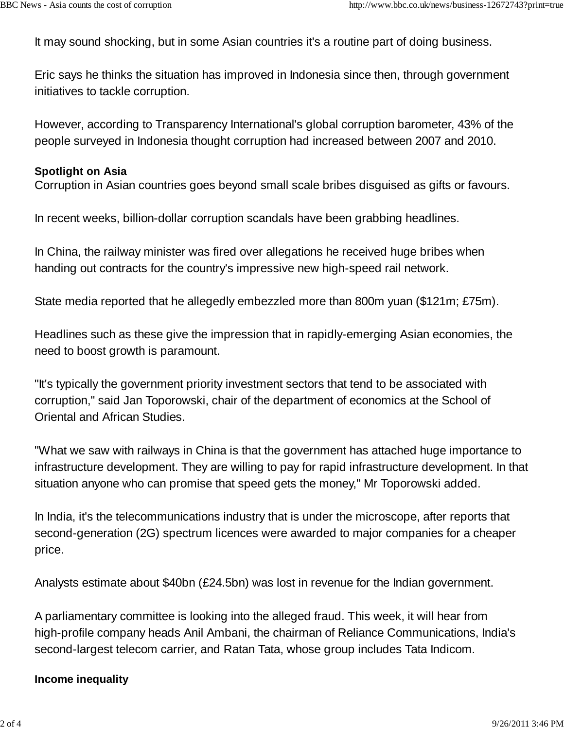It may sound shocking, but in some Asian countries it's a routine part of doing business.

Eric says he thinks the situation has improved in Indonesia since then, through government initiatives to tackle corruption.

However, according to Transparency International's global corruption barometer, 43% of the people surveyed in Indonesia thought corruption had increased between 2007 and 2010.

#### **Spotlight on Asia**

Corruption in Asian countries goes beyond small scale bribes disguised as gifts or favours.

In recent weeks, billion-dollar corruption scandals have been grabbing headlines.

In China, the railway minister was fired over allegations he received huge bribes when handing out contracts for the country's impressive new high-speed rail network.

State media reported that he allegedly embezzled more than 800m yuan (\$121m; £75m).

Headlines such as these give the impression that in rapidly-emerging Asian economies, the need to boost growth is paramount.

"It's typically the government priority investment sectors that tend to be associated with corruption," said Jan Toporowski, chair of the department of economics at the School of Oriental and African Studies.

"What we saw with railways in China is that the government has attached huge importance to infrastructure development. They are willing to pay for rapid infrastructure development. In that situation anyone who can promise that speed gets the money," Mr Toporowski added.

In India, it's the telecommunications industry that is under the microscope, after reports that second-generation (2G) spectrum licences were awarded to major companies for a cheaper price.

Analysts estimate about \$40bn (£24.5bn) was lost in revenue for the Indian government.

A parliamentary committee is looking into the alleged fraud. This week, it will hear from high-profile company heads Anil Ambani, the chairman of Reliance Communications, India's second-largest telecom carrier, and Ratan Tata, whose group includes Tata Indicom.

#### **Income inequality**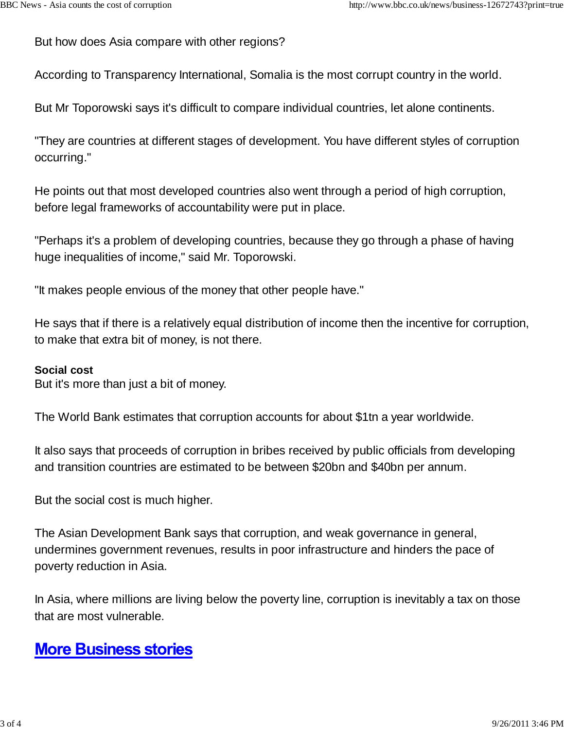But how does Asia compare with other regions?

According to Transparency International, Somalia is the most corrupt country in the world.

But Mr Toporowski says it's difficult to compare individual countries, let alone continents.

"They are countries at different stages of development. You have different styles of corruption occurring."

He points out that most developed countries also went through a period of high corruption, before legal frameworks of accountability were put in place.

"Perhaps it's a problem of developing countries, because they go through a phase of having huge inequalities of income," said Mr. Toporowski.

"It makes people envious of the money that other people have."

He says that if there is a relatively equal distribution of income then the incentive for corruption, to make that extra bit of money, is not there.

#### **Social cost**

But it's more than just a bit of money.

The World Bank estimates that corruption accounts for about \$1tn a year worldwide.

It also says that proceeds of corruption in bribes received by public officials from developing and transition countries are estimated to be between \$20bn and \$40bn per annum.

But the social cost is much higher.

The Asian Development Bank says that corruption, and weak governance in general, undermines government revenues, results in poor infrastructure and hinders the pace of poverty reduction in Asia.

In Asia, where millions are living below the poverty line, corruption is inevitably a tax on those that are most vulnerable.

### **More Business stories**